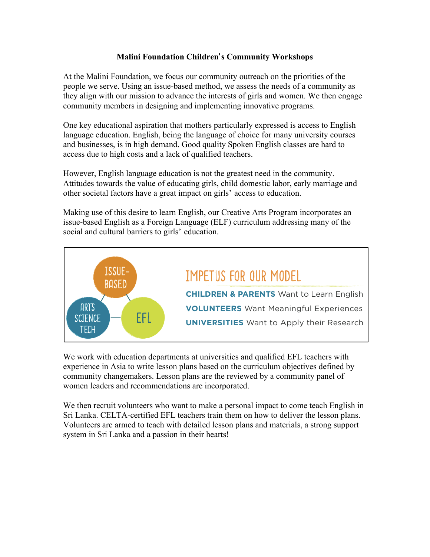## **Malini Foundation Children**'**s Community Workshops**

At the Malini Foundation, we focus our community outreach on the priorities of the people we serve. Using an issue-based method, we assess the needs of a community as they align with our mission to advance the interests of girls and women. We then engage community members in designing and implementing innovative programs.

One key educational aspiration that mothers particularly expressed is access to English language education. English, being the language of choice for many university courses and businesses, is in high demand. Good quality Spoken English classes are hard to access due to high costs and a lack of qualified teachers.

However, English language education is not the greatest need in the community. Attitudes towards the value of educating girls, child domestic labor, early marriage and other societal factors have a great impact on girls' access to education.

Making use of this desire to learn English, our Creative Arts Program incorporates an issue-based English as a Foreign Language (ELF) curriculum addressing many of the social and cultural barriers to girls' education.



We work with education departments at universities and qualified EFL teachers with experience in Asia to write lesson plans based on the curriculum objectives defined by community changemakers. Lesson plans are the reviewed by a community panel of women leaders and recommendations are incorporated.

We then recruit volunteers who want to make a personal impact to come teach English in Sri Lanka. CELTA-certified EFL teachers train them on how to deliver the lesson plans. Volunteers are armed to teach with detailed lesson plans and materials, a strong support system in Sri Lanka and a passion in their hearts!